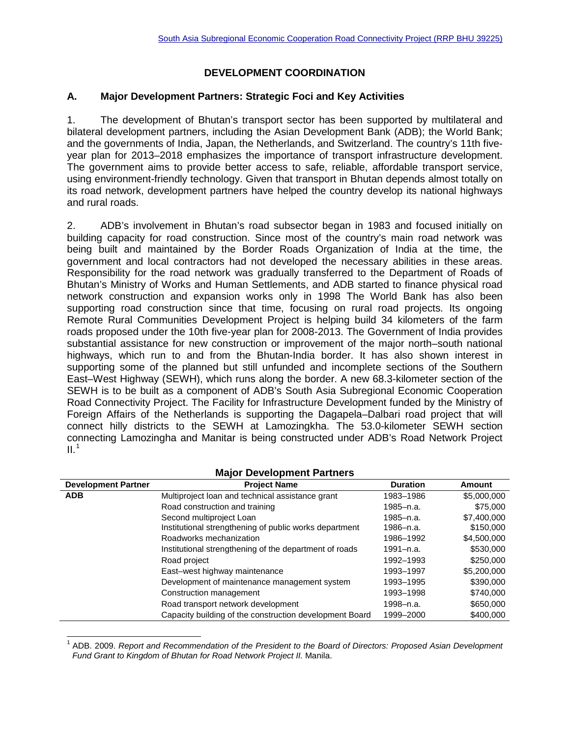# **DEVELOPMENT COORDINATION**

### **A. Major Development Partners: Strategic Foci and Key Activities**

1. The development of Bhutan's transport sector has been supported by multilateral and bilateral development partners, including the Asian Development Bank (ADB); the World Bank; and the governments of India, Japan, the Netherlands, and Switzerland. The country's 11th fiveyear plan for 2013–2018 emphasizes the importance of transport infrastructure development. The government aims to provide better access to safe, reliable, affordable transport service, using environment-friendly technology. Given that transport in Bhutan depends almost totally on its road network, development partners have helped the country develop its national highways and rural roads.

2. ADB's involvement in Bhutan's road subsector began in 1983 and focused initially on building capacity for road construction. Since most of the country's main road network was being built and maintained by the Border Roads Organization of India at the time, the government and local contractors had not developed the necessary abilities in these areas. Responsibility for the road network was gradually transferred to the Department of Roads of Bhutan's Ministry of Works and Human Settlements, and ADB started to finance physical road network construction and expansion works only in 1998 The World Bank has also been supporting road construction since that time, focusing on rural road projects. Its ongoing Remote Rural Communities Development Project is helping build 34 kilometers of the farm roads proposed under the 10th five-year plan for 2008-2013. The Government of India provides substantial assistance for new construction or improvement of the major north–south national highways, which run to and from the Bhutan-India border. It has also shown interest in supporting some of the planned but still unfunded and incomplete sections of the Southern East–West Highway (SEWH), which runs along the border. A new 68.3-kilometer section of the SEWH is to be built as a component of ADB's South Asia Subregional Economic Cooperation Road Connectivity Project. The Facility for Infrastructure Development funded by the Ministry of Foreign Affairs of the Netherlands is supporting the Dagapela–Dalbari road project that will connect hilly districts to the SEWH at Lamozingkha. The 53.0-kilometer SEWH section connecting Lamozingha and Manitar is being constructed under ADB's Road Network Project  $II.^1$  $II.^1$ 

| <b>Major Development Partners</b> |                                                         |                 |             |  |  |
|-----------------------------------|---------------------------------------------------------|-----------------|-------------|--|--|
| <b>Development Partner</b>        | <b>Project Name</b>                                     | <b>Duration</b> | Amount      |  |  |
| <b>ADB</b>                        | Multiproject loan and technical assistance grant        | 1983-1986       | \$5,000,000 |  |  |
|                                   | Road construction and training                          | 1985-n.a.       | \$75,000    |  |  |
|                                   | Second multiproject Loan                                | 1985-n.a.       | \$7,400,000 |  |  |
|                                   | Institutional strengthening of public works department  | 1986–n.a.       | \$150,000   |  |  |
|                                   | Roadworks mechanization                                 | 1986-1992       | \$4,500,000 |  |  |
|                                   | Institutional strengthening of the department of roads  | 1991–n.a.       | \$530,000   |  |  |
|                                   | Road project                                            | 1992-1993       | \$250,000   |  |  |
|                                   | East-west highway maintenance                           | 1993-1997       | \$5,200,000 |  |  |
|                                   | Development of maintenance management system            | 1993-1995       | \$390,000   |  |  |
|                                   | Construction management                                 | 1993-1998       | \$740,000   |  |  |
|                                   | Road transport network development                      | 1998-n.a.       | \$650,000   |  |  |
|                                   | Capacity building of the construction development Board | 1999-2000       | \$400,000   |  |  |

## **Major Development Partners**

<span id="page-0-0"></span><sup>1</sup> ADB. 2009. *Report and Recommendation of the President to the Board of Directors: Proposed Asian Development Fund Grant to Kingdom of Bhutan for Road Network Project II.* Manila.  $\overline{a}$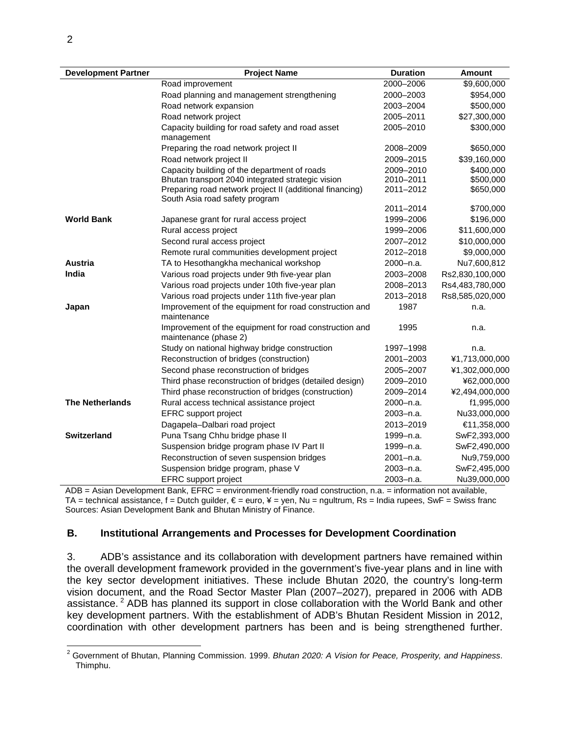| <b>Development Partner</b> | <b>Project Name</b>                                                             | <b>Duration</b> | <b>Amount</b>             |
|----------------------------|---------------------------------------------------------------------------------|-----------------|---------------------------|
|                            | Road improvement                                                                | 2000-2006       | \$9,600,000               |
|                            | Road planning and management strengthening                                      | 2000-2003       | \$954,000                 |
|                            | Road network expansion                                                          | 2003-2004       | \$500,000                 |
|                            | Road network project                                                            | 2005-2011       | \$27,300,000              |
|                            | Capacity building for road safety and road asset                                | 2005-2010       | \$300,000                 |
|                            | management                                                                      |                 |                           |
|                            | Preparing the road network project II                                           | 2008-2009       | \$650,000                 |
|                            | Road network project II                                                         | 2009-2015       | \$39,160,000              |
|                            | Capacity building of the department of roads                                    | 2009-2010       | \$400,000                 |
|                            | Bhutan transport 2040 integrated strategic vision                               | 2010-2011       | \$500,000                 |
|                            | Preparing road network project II (additional financing)                        | 2011-2012       | \$650,000                 |
|                            | South Asia road safety program                                                  | 2011-2014       | \$700,000                 |
| <b>World Bank</b>          |                                                                                 | 1999-2006       |                           |
|                            | Japanese grant for rural access project<br>Rural access project                 | 1999-2006       | \$196,000<br>\$11,600,000 |
|                            |                                                                                 | 2007-2012       |                           |
|                            | Second rural access project                                                     |                 | \$10,000,000              |
| <b>Austria</b>             | Remote rural communities development project                                    | 2012-2018       | \$9,000,000               |
|                            | TA to Hesothangkha mechanical workshop                                          | 2000-n.a.       | Nu7,600,812               |
| India                      | Various road projects under 9th five-year plan                                  | 2003-2008       | Rs2,830,100,000           |
|                            | Various road projects under 10th five-year plan                                 | 2008-2013       | Rs4,483,780,000           |
|                            | Various road projects under 11th five-year plan                                 | 2013-2018       | Rs8,585,020,000           |
| Japan                      | Improvement of the equipment for road construction and<br>maintenance           | 1987            | n.a.                      |
|                            | Improvement of the equipment for road construction and<br>maintenance (phase 2) | 1995            | n.a.                      |
|                            | Study on national highway bridge construction                                   | 1997-1998       | n.a.                      |
|                            | Reconstruction of bridges (construction)                                        | 2001-2003       | ¥1,713,000,000            |
|                            | Second phase reconstruction of bridges                                          | 2005-2007       | ¥1,302,000,000            |
|                            | Third phase reconstruction of bridges (detailed design)                         | 2009-2010       | ¥62,000,000               |
|                            | Third phase reconstruction of bridges (construction)                            | 2009-2014       | ¥2,494,000,000            |
| <b>The Netherlands</b>     | Rural access technical assistance project                                       | 2000-n.a.       | f1,995,000                |
|                            | EFRC support project                                                            | 2003-n.a.       | Nu33,000,000              |
|                            | Dagapela-Dalbari road project                                                   | 2013-2019       | €11,358,000               |
| <b>Switzerland</b>         | Puna Tsang Chhu bridge phase II                                                 | 1999-n.a.       | SwF2,393,000              |
|                            | Suspension bridge program phase IV Part II                                      | 1999-n.a.       | SwF2,490,000              |
|                            | Reconstruction of seven suspension bridges                                      | 2001-n.a.       | Nu9,759,000               |
|                            | Suspension bridge program, phase V                                              | 2003-n.a.       | SwF2,495,000              |
|                            | <b>EFRC</b> support project                                                     | 2003-n.a.       | Nu39,000,000              |
|                            |                                                                                 |                 |                           |

ADB = Asian Development Bank, EFRC = environment-friendly road construction, n.a. = information not available, TA = technical assistance, f = Dutch guilder,  $\epsilon$  = euro, ¥ = yen, Nu = ngultrum, Rs = India rupees, SwF = Swiss franc Sources: Asian Development Bank and Bhutan Ministry of Finance.

#### **B. Institutional Arrangements and Processes for Development Coordination**

3. ADB's assistance and its collaboration with development partners have remained within the overall development framework provided in the government's five-year plans and in line with the key sector development initiatives. These include Bhutan 2020, the country's long-term vision document, and the Road Sector Master Plan (2007–2027), prepared in 2006 with ADB assistance.<sup>[2](#page-1-0)</sup> ADB has planned its support in close collaboration with the World Bank and other key development partners. With the establishment of ADB's Bhutan Resident Mission in 2012, coordination with other development partners has been and is being strengthened further.

<span id="page-1-0"></span><sup>2</sup> Government of Bhutan, Planning Commission. 1999. *Bhutan 2020: A Vision for Peace, Prosperity, and Happiness*. Thimphu.  $\overline{a}$